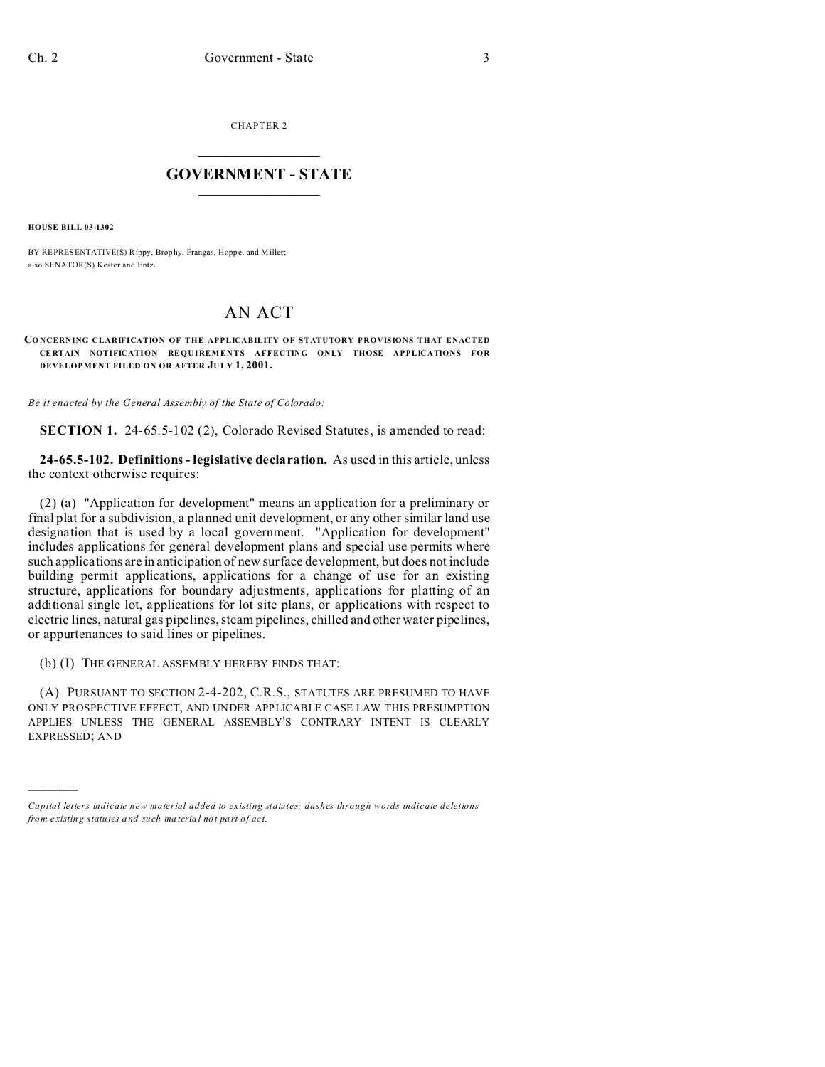CHAPTER 2  $\overline{\phantom{a}}$  , where  $\overline{\phantom{a}}$ 

## **GOVERNMENT - STATE**  $\_$   $\_$   $\_$   $\_$   $\_$   $\_$   $\_$   $\_$   $\_$

**HOUSE BILL 03-1302**

)))))

BY REPRESENTATIVE(S) Rippy, Brop hy, Frangas, Hopp e, and Miller; also SENATOR(S) Kester and Entz.

## AN ACT

## **CONCERNING CLARIFICATION OF THE APPLICABILITY OF STATUTORY PROVISIONS THAT ENACTED CE RTAIN NOTIFICATION REQUIREMENTS AFFECTING ONLY THOSE APPLICATIONS FOR DEVELOP MENT FILED ON OR AFTER JULY 1, 2001.**

*Be it enacted by the General Assembly of the State of Colorado:*

**SECTION 1.** 24-65.5-102 (2), Colorado Revised Statutes, is amended to read:

**24-65.5-102. Definitions - legislative declaration.** As used in this article, unless the context otherwise requires:

(2) (a) "Application for development" means an application for a preliminary or final plat for a subdivision, a planned unit development, or any other similar land use designation that is used by a local government. "Application for development" includes applications for general development plans and special use permits where such applications are in anticipation of new surface development, but does not include building permit applications, applications for a change of use for an existing structure, applications for boundary adjustments, applications for platting of an additional single lot, applications for lot site plans, or applications with respect to electric lines, natural gas pipelines, steam pipelines, chilled and other water pipelines, or appurtenances to said lines or pipelines.

(b) (I) THE GENERAL ASSEMBLY HEREBY FINDS THAT:

(A) PURSUANT TO SECTION 2-4-202, C.R.S., STATUTES ARE PRESUMED TO HAVE ONLY PROSPECTIVE EFFECT, AND UNDER APPLICABLE CASE LAW THIS PRESUMPTION APPLIES UNLESS THE GENERAL ASSEMBLY'S CONTRARY INTENT IS CLEARLY EXPRESSED; AND

*Capital letters indicate new material added to existing statutes; dashes through words indicate deletions from e xistin g statu tes a nd such ma teria l no t pa rt of ac t.*